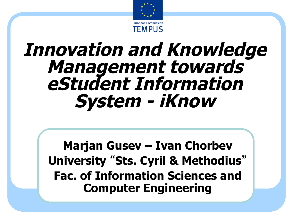

# **Innovation and Knowledge Management towards eStudent Information System - iKnow**

**Marjan Gusev – Ivan Chorbev University** "**Sts. Cyril & Methodius**" **Fac. of Information Sciences and Computer Engineering**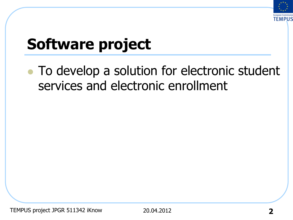

# **Software project**

• To develop a solution for electronic student services and electronic enrollment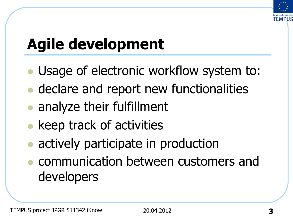

# **Agile development**

- Usage of electronic workflow system to:
- declare and report new functionalities
- analyze their fulfillment
- keep track of activities
- actively participate in production
- <sup>l</sup> communication between customers and developers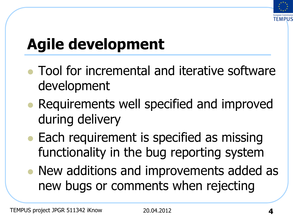

# **Agile development**

- Tool for incremental and iterative software development
- Requirements well specified and improved during delivery
- Each requirement is specified as missing functionality in the bug reporting system
- New additions and improvements added as new bugs or comments when rejecting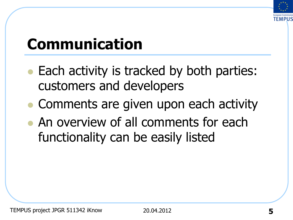

# **Communication**

- Each activity is tracked by both parties: customers and developers
- Comments are given upon each activity
- An overview of all comments for each functionality can be easily listed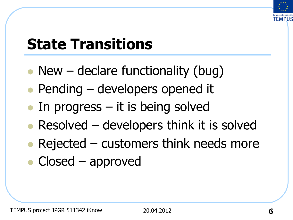

# **State Transitions**

- New declare functionality (bug)
- $\bullet$  Pending developers opened it
- $\bullet$  In progress it is being solved
- Resolved  $-$  developers think it is solved
- Rejected customers think needs more
- $\bullet$  Closed approved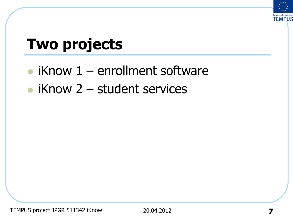

## **Two projects**

- $\bullet$  iKnow 1 enrollment software
- $\bullet$  iKnow 2 student services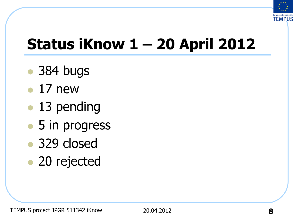

# **Status iKnow 1 – 20 April 2012**

- 384 bugs
- $\bullet$  17 new
- 13 pending
- 5 in progress
- 329 closed
- 20 rejected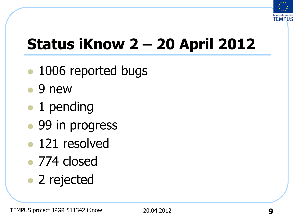

# **Status iKnow 2 – 20 April 2012**

- l 1006 reported bugs
- $\bullet$  9 new
- l 1 pending
- 99 in progress
- 121 resolved
- 774 closed
- 2 rejected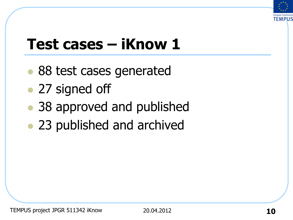

## **Test cases – iKnow 1**

- 88 test cases generated
- 27 signed off
- 38 approved and published
- 23 published and archived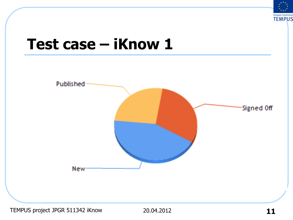

#### **Test case – iKnow 1**

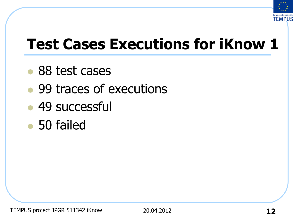

## **Test Cases Executions for iKnow 1**

- 88 test cases
- 99 traces of executions
- $\cdot$  49 successful
- 50 failed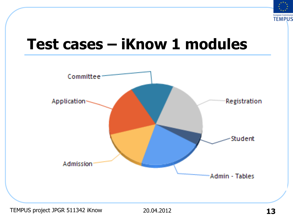

#### **Test cases – iKnow 1 modules**

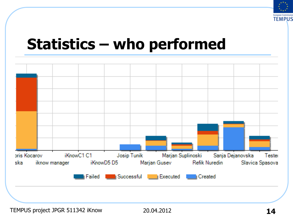

#### **Statistics – who performed**

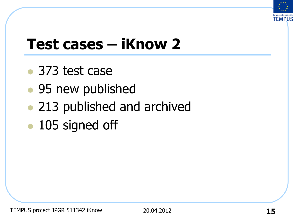

# **Test cases – iKnow 2**

- $\bullet$  373 test case
- 95 new published
- 213 published and archived
- 105 signed off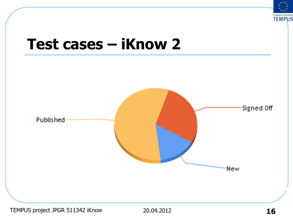

#### **Test cases – iKnow 2**

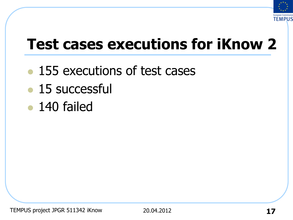

# **Test cases executions for iKnow 2**

- 155 executions of test cases
- $\bullet$  15 successful
- $\bullet$  140 failed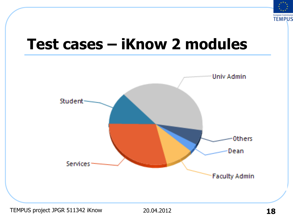

#### **Test cases – iKnow 2 modules**

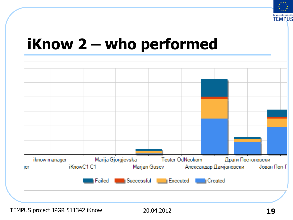

#### **iKnow 2 – who performed**

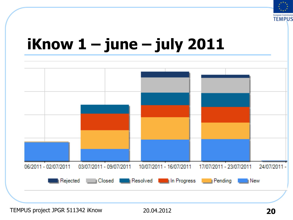

#### **iKnow 1 – june – july 2011**

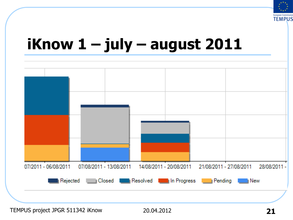

### **iKnow 1 – july – august 2011**

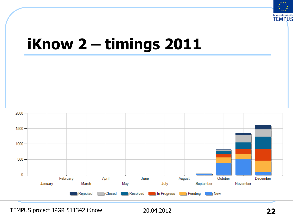

### **iKnow 2 – timings 2011**

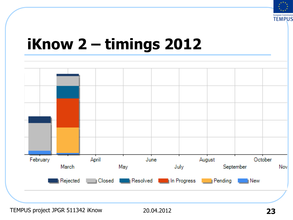

### **iKnow 2 – timings 2012**